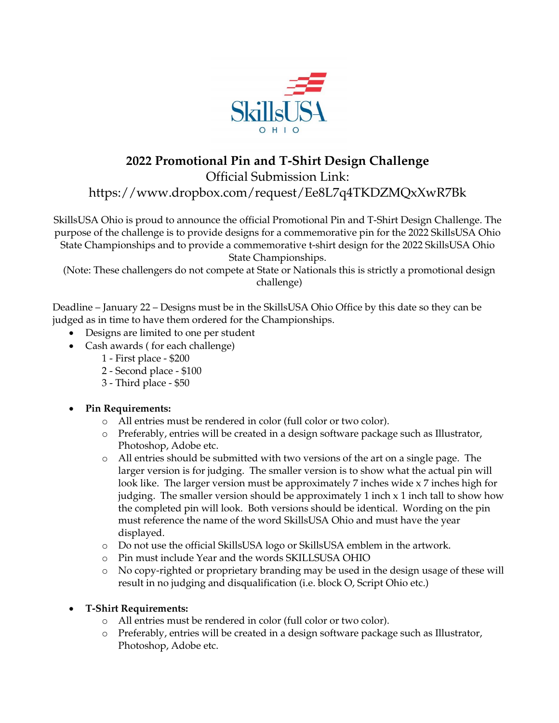

## **2022 Promotional Pin and T-Shirt Design Challenge**

Official Submission Link:

https://www.dropbox.com/request/Ee8L7q4TKDZMQxXwR7Bk

SkillsUSA Ohio is proud to announce the official Promotional Pin and T-Shirt Design Challenge. The purpose of the challenge is to provide designs for a commemorative pin for the 2022 SkillsUSA Ohio State Championships and to provide a commemorative t-shirt design for the 2022 SkillsUSA Ohio State Championships.

(Note: These challengers do not compete at State or Nationals this is strictly a promotional design challenge)

Deadline – January 22 – Designs must be in the SkillsUSA Ohio Office by this date so they can be judged as in time to have them ordered for the Championships.

- Designs are limited to one per student
- Cash awards ( for each challenge)
	- 1 First place \$200
	- 2 Second place \$100
	- 3 Third place \$50

## • **Pin Requirements:**

- o All entries must be rendered in color (full color or two color).
- o Preferably, entries will be created in a design software package such as Illustrator, Photoshop, Adobe etc.
- o All entries should be submitted with two versions of the art on a single page. The larger version is for judging. The smaller version is to show what the actual pin will look like. The larger version must be approximately 7 inches wide x 7 inches high for judging. The smaller version should be approximately 1 inch x 1 inch tall to show how the completed pin will look. Both versions should be identical. Wording on the pin must reference the name of the word SkillsUSA Ohio and must have the year displayed.
- o Do not use the official SkillsUSA logo or SkillsUSA emblem in the artwork.
- o Pin must include Year and the words SKILLSUSA OHIO
- o No copy-righted or proprietary branding may be used in the design usage of these will result in no judging and disqualification (i.e. block O, Script Ohio etc.)
- **T-Shirt Requirements:**
	- o All entries must be rendered in color (full color or two color).
	- o Preferably, entries will be created in a design software package such as Illustrator, Photoshop, Adobe etc.